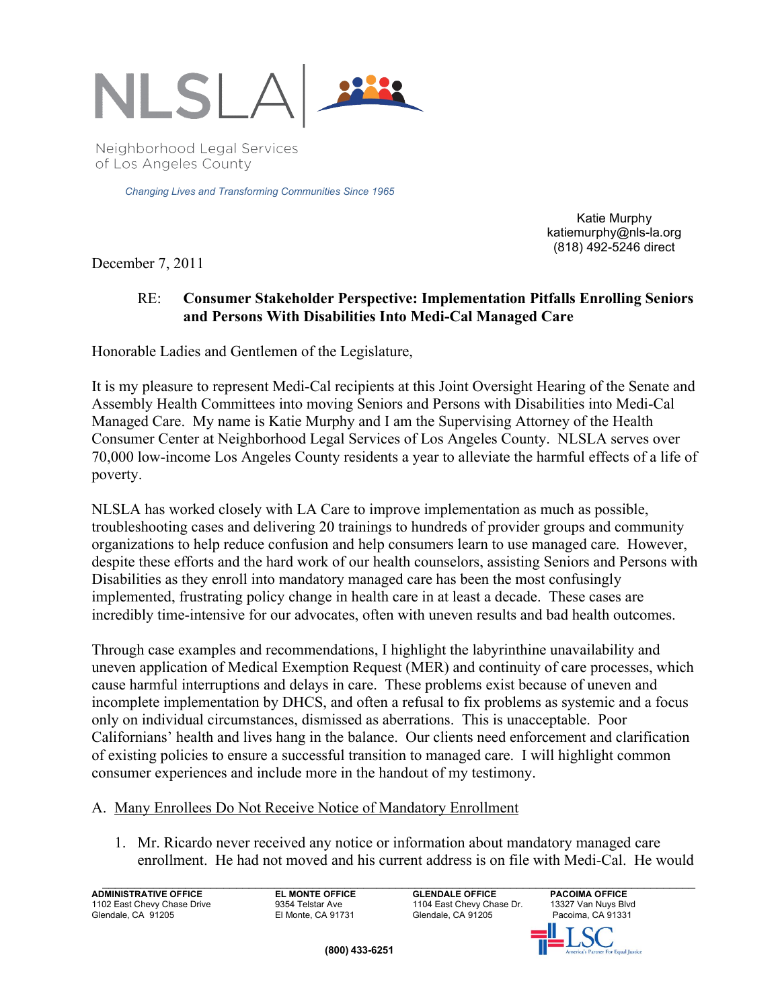

Neighborhood Legal Services of Los Angeles County

*Changing Lives and Transforming Communities Since 1965* 

Katie Murphy katiemurphy@nls-la.org (818) 492-5246 direct

December 7, 2011

#### RE: **Consumer Stakeholder Perspective: Implementation Pitfalls Enrolling Seniors and Persons With Disabilities Into Medi-Cal Managed Care**

Honorable Ladies and Gentlemen of the Legislature,

It is my pleasure to represent Medi-Cal recipients at this Joint Oversight Hearing of the Senate and Assembly Health Committees into moving Seniors and Persons with Disabilities into Medi-Cal Managed Care. My name is Katie Murphy and I am the Supervising Attorney of the Health Consumer Center at Neighborhood Legal Services of Los Angeles County. NLSLA serves over 70,000 low-income Los Angeles County residents a year to alleviate the harmful effects of a life of poverty.

NLSLA has worked closely with LA Care to improve implementation as much as possible, troubleshooting cases and delivering 20 trainings to hundreds of provider groups and community organizations to help reduce confusion and help consumers learn to use managed care. However, despite these efforts and the hard work of our health counselors, assisting Seniors and Persons with Disabilities as they enroll into mandatory managed care has been the most confusingly implemented, frustrating policy change in health care in at least a decade. These cases are incredibly time-intensive for our advocates, often with uneven results and bad health outcomes.

Through case examples and recommendations, I highlight the labyrinthine unavailability and uneven application of Medical Exemption Request (MER) and continuity of care processes, which cause harmful interruptions and delays in care. These problems exist because of uneven and incomplete implementation by DHCS, and often a refusal to fix problems as systemic and a focus only on individual circumstances, dismissed as aberrations. This is unacceptable. Poor Californians' health and lives hang in the balance. Our clients need enforcement and clarification of existing policies to ensure a successful transition to managed care. I will highlight common consumer experiences and include more in the handout of my testimony.

#### A. Many Enrollees Do Not Receive Notice of Mandatory Enrollment

1. Mr. Ricardo never received any notice or information about mandatory managed care enrollment. He had not moved and his current address is on file with Medi-Cal. He would

\_\_\_\_\_\_\_\_\_\_\_\_\_\_\_\_\_\_\_\_\_\_\_\_\_\_\_\_\_\_\_\_\_\_\_\_\_\_\_\_\_\_\_\_\_\_\_\_\_\_\_\_\_\_\_\_\_\_\_\_\_\_\_\_\_\_\_\_\_\_\_\_\_\_\_\_\_\_\_\_\_\_\_\_\_\_\_\_\_\_\_\_\_ **ADMINISTRATIVE OFFICE CLEMONTE OFFICE GLENDALE OFFICE PACOIMA OFFICE**<br>1102 East Chevy Chase Drive 9354 Telstar Ave 1104 East Chevy Chase Dr. 13327 Van Nuys Bh 1102 East Chevy Chase Drive 9354 Telstar Ave 1104 East Chevy Chase Drive 9354 Telstar Ave 1104 East Chevy Chas<br>
El Monte. CA 91731 Glendale. CA 91205 Glendale, CA 91205

13327 Van Nuys Blvd Pacoima, CA 91331

**Equal Justice** 

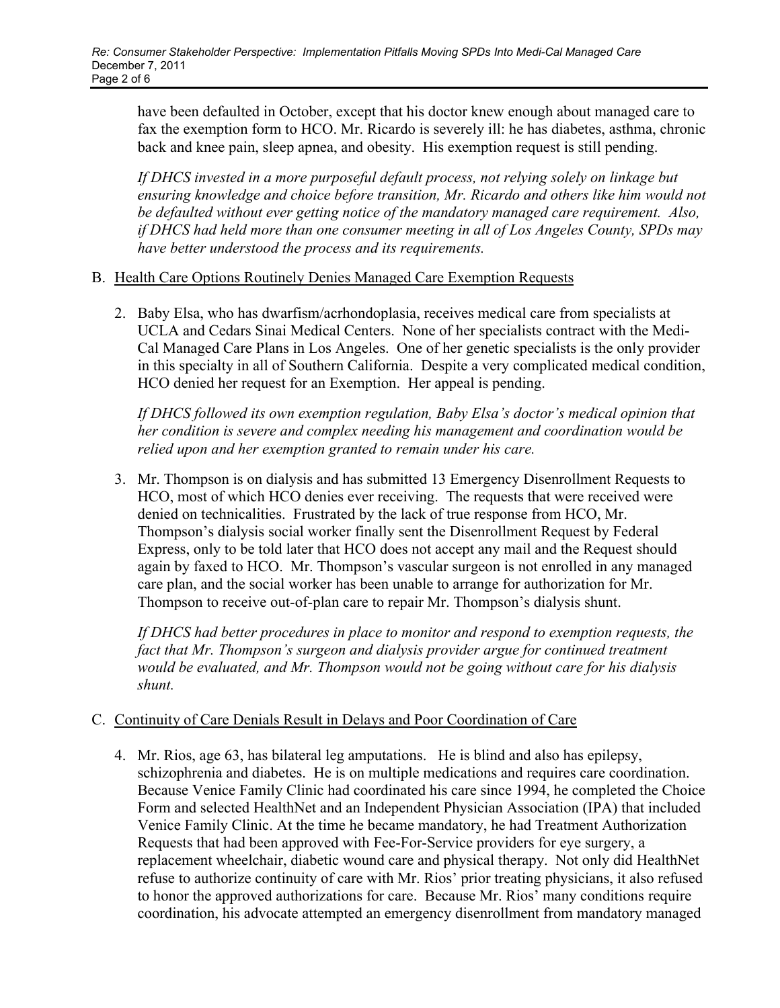have been defaulted in October, except that his doctor knew enough about managed care to fax the exemption form to HCO. Mr. Ricardo is severely ill: he has diabetes, asthma, chronic back and knee pain, sleep apnea, and obesity. His exemption request is still pending.

*If DHCS invested in a more purposeful default process, not relying solely on linkage but ensuring knowledge and choice before transition, Mr. Ricardo and others like him would not be defaulted without ever getting notice of the mandatory managed care requirement. Also, if DHCS had held more than one consumer meeting in all of Los Angeles County, SPDs may have better understood the process and its requirements.* 

#### B. Health Care Options Routinely Denies Managed Care Exemption Requests

2. Baby Elsa, who has dwarfism/acrhondoplasia, receives medical care from specialists at UCLA and Cedars Sinai Medical Centers. None of her specialists contract with the Medi-Cal Managed Care Plans in Los Angeles. One of her genetic specialists is the only provider in this specialty in all of Southern California. Despite a very complicated medical condition, HCO denied her request for an Exemption. Her appeal is pending.

*If DHCS followed its own exemption regulation, Baby Elsa's doctor's medical opinion that her condition is severe and complex needing his management and coordination would be relied upon and her exemption granted to remain under his care.* 

3. Mr. Thompson is on dialysis and has submitted 13 Emergency Disenrollment Requests to HCO, most of which HCO denies ever receiving. The requests that were received were denied on technicalities. Frustrated by the lack of true response from HCO, Mr. Thompson's dialysis social worker finally sent the Disenrollment Request by Federal Express, only to be told later that HCO does not accept any mail and the Request should again by faxed to HCO. Mr. Thompson's vascular surgeon is not enrolled in any managed care plan, and the social worker has been unable to arrange for authorization for Mr. Thompson to receive out-of-plan care to repair Mr. Thompson's dialysis shunt.

*If DHCS had better procedures in place to monitor and respond to exemption requests, the fact that Mr. Thompson's surgeon and dialysis provider argue for continued treatment would be evaluated, and Mr. Thompson would not be going without care for his dialysis shunt.* 

#### C. Continuity of Care Denials Result in Delays and Poor Coordination of Care

4. Mr. Rios, age 63, has bilateral leg amputations. He is blind and also has epilepsy, schizophrenia and diabetes. He is on multiple medications and requires care coordination. Because Venice Family Clinic had coordinated his care since 1994, he completed the Choice Form and selected HealthNet and an Independent Physician Association (IPA) that included Venice Family Clinic. At the time he became mandatory, he had Treatment Authorization Requests that had been approved with Fee-For-Service providers for eye surgery, a replacement wheelchair, diabetic wound care and physical therapy. Not only did HealthNet refuse to authorize continuity of care with Mr. Rios' prior treating physicians, it also refused to honor the approved authorizations for care. Because Mr. Rios' many conditions require coordination, his advocate attempted an emergency disenrollment from mandatory managed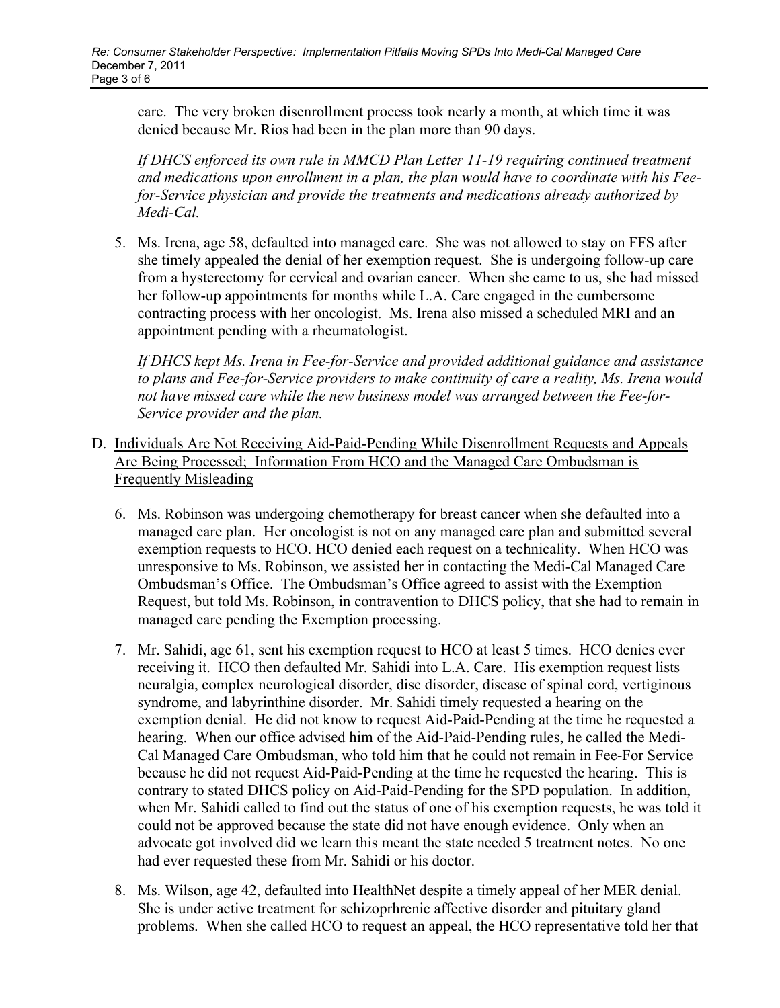care. The very broken disenrollment process took nearly a month, at which time it was denied because Mr. Rios had been in the plan more than 90 days.

*If DHCS enforced its own rule in MMCD Plan Letter 11-19 requiring continued treatment and medications upon enrollment in a plan, the plan would have to coordinate with his Feefor-Service physician and provide the treatments and medications already authorized by Medi-Cal.* 

5. Ms. Irena, age 58, defaulted into managed care. She was not allowed to stay on FFS after she timely appealed the denial of her exemption request. She is undergoing follow-up care from a hysterectomy for cervical and ovarian cancer. When she came to us, she had missed her follow-up appointments for months while L.A. Care engaged in the cumbersome contracting process with her oncologist. Ms. Irena also missed a scheduled MRI and an appointment pending with a rheumatologist.

*If DHCS kept Ms. Irena in Fee-for-Service and provided additional guidance and assistance to plans and Fee-for-Service providers to make continuity of care a reality, Ms. Irena would not have missed care while the new business model was arranged between the Fee-for-Service provider and the plan.* 

- D. Individuals Are Not Receiving Aid-Paid-Pending While Disenrollment Requests and Appeals Are Being Processed; Information From HCO and the Managed Care Ombudsman is Frequently Misleading
	- 6. Ms. Robinson was undergoing chemotherapy for breast cancer when she defaulted into a managed care plan. Her oncologist is not on any managed care plan and submitted several exemption requests to HCO. HCO denied each request on a technicality. When HCO was unresponsive to Ms. Robinson, we assisted her in contacting the Medi-Cal Managed Care Ombudsman's Office. The Ombudsman's Office agreed to assist with the Exemption Request, but told Ms. Robinson, in contravention to DHCS policy, that she had to remain in managed care pending the Exemption processing.
	- 7. Mr. Sahidi, age 61, sent his exemption request to HCO at least 5 times. HCO denies ever receiving it. HCO then defaulted Mr. Sahidi into L.A. Care. His exemption request lists neuralgia, complex neurological disorder, disc disorder, disease of spinal cord, vertiginous syndrome, and labyrinthine disorder. Mr. Sahidi timely requested a hearing on the exemption denial. He did not know to request Aid-Paid-Pending at the time he requested a hearing. When our office advised him of the Aid-Paid-Pending rules, he called the Medi-Cal Managed Care Ombudsman, who told him that he could not remain in Fee-For Service because he did not request Aid-Paid-Pending at the time he requested the hearing. This is contrary to stated DHCS policy on Aid-Paid-Pending for the SPD population. In addition, when Mr. Sahidi called to find out the status of one of his exemption requests, he was told it could not be approved because the state did not have enough evidence. Only when an advocate got involved did we learn this meant the state needed 5 treatment notes. No one had ever requested these from Mr. Sahidi or his doctor.
	- 8. Ms. Wilson, age 42, defaulted into HealthNet despite a timely appeal of her MER denial. She is under active treatment for schizoprhrenic affective disorder and pituitary gland problems. When she called HCO to request an appeal, the HCO representative told her that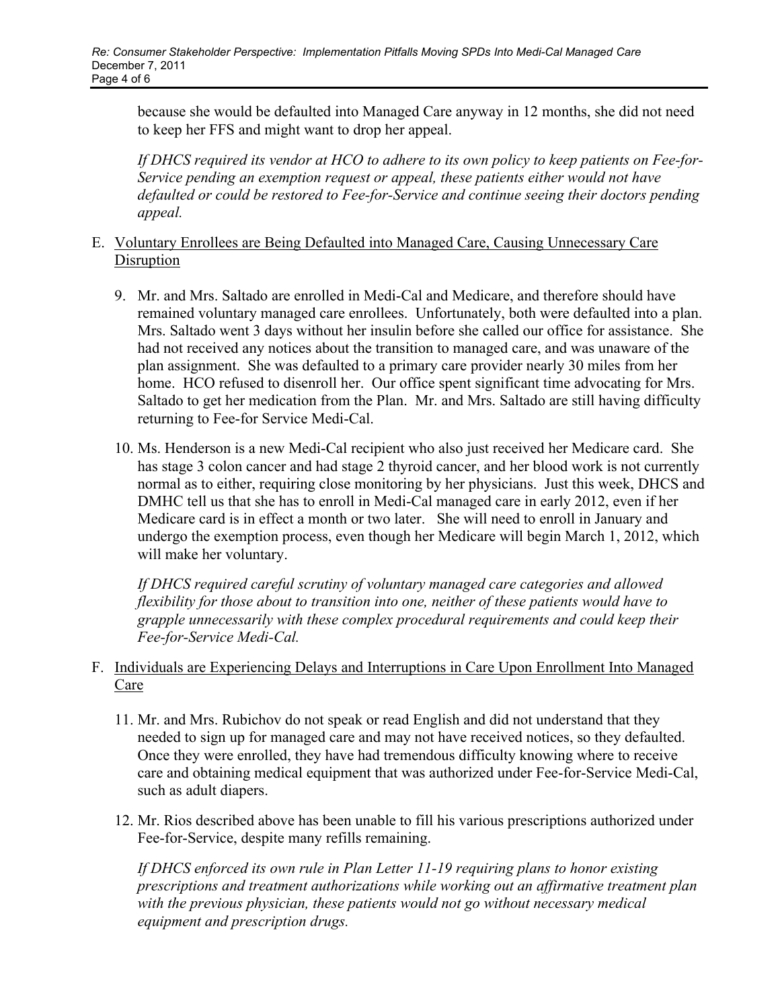because she would be defaulted into Managed Care anyway in 12 months, she did not need to keep her FFS and might want to drop her appeal.

*If DHCS required its vendor at HCO to adhere to its own policy to keep patients on Fee-for-Service pending an exemption request or appeal, these patients either would not have defaulted or could be restored to Fee-for-Service and continue seeing their doctors pending appeal.* 

#### E. Voluntary Enrollees are Being Defaulted into Managed Care, Causing Unnecessary Care **Disruption**

- 9. Mr. and Mrs. Saltado are enrolled in Medi-Cal and Medicare, and therefore should have remained voluntary managed care enrollees. Unfortunately, both were defaulted into a plan. Mrs. Saltado went 3 days without her insulin before she called our office for assistance. She had not received any notices about the transition to managed care, and was unaware of the plan assignment. She was defaulted to a primary care provider nearly 30 miles from her home. HCO refused to disenroll her. Our office spent significant time advocating for Mrs. Saltado to get her medication from the Plan. Mr. and Mrs. Saltado are still having difficulty returning to Fee-for Service Medi-Cal.
- 10. Ms. Henderson is a new Medi-Cal recipient who also just received her Medicare card. She has stage 3 colon cancer and had stage 2 thyroid cancer, and her blood work is not currently normal as to either, requiring close monitoring by her physicians. Just this week, DHCS and DMHC tell us that she has to enroll in Medi-Cal managed care in early 2012, even if her Medicare card is in effect a month or two later. She will need to enroll in January and undergo the exemption process, even though her Medicare will begin March 1, 2012, which will make her voluntary.

*If DHCS required careful scrutiny of voluntary managed care categories and allowed flexibility for those about to transition into one, neither of these patients would have to grapple unnecessarily with these complex procedural requirements and could keep their Fee-for-Service Medi-Cal.* 

## F. Individuals are Experiencing Delays and Interruptions in Care Upon Enrollment Into Managed Care

- 11. Mr. and Mrs. Rubichov do not speak or read English and did not understand that they needed to sign up for managed care and may not have received notices, so they defaulted. Once they were enrolled, they have had tremendous difficulty knowing where to receive care and obtaining medical equipment that was authorized under Fee-for-Service Medi-Cal, such as adult diapers.
- 12. Mr. Rios described above has been unable to fill his various prescriptions authorized under Fee-for-Service, despite many refills remaining.

*If DHCS enforced its own rule in Plan Letter 11-19 requiring plans to honor existing prescriptions and treatment authorizations while working out an affirmative treatment plan with the previous physician, these patients would not go without necessary medical equipment and prescription drugs.*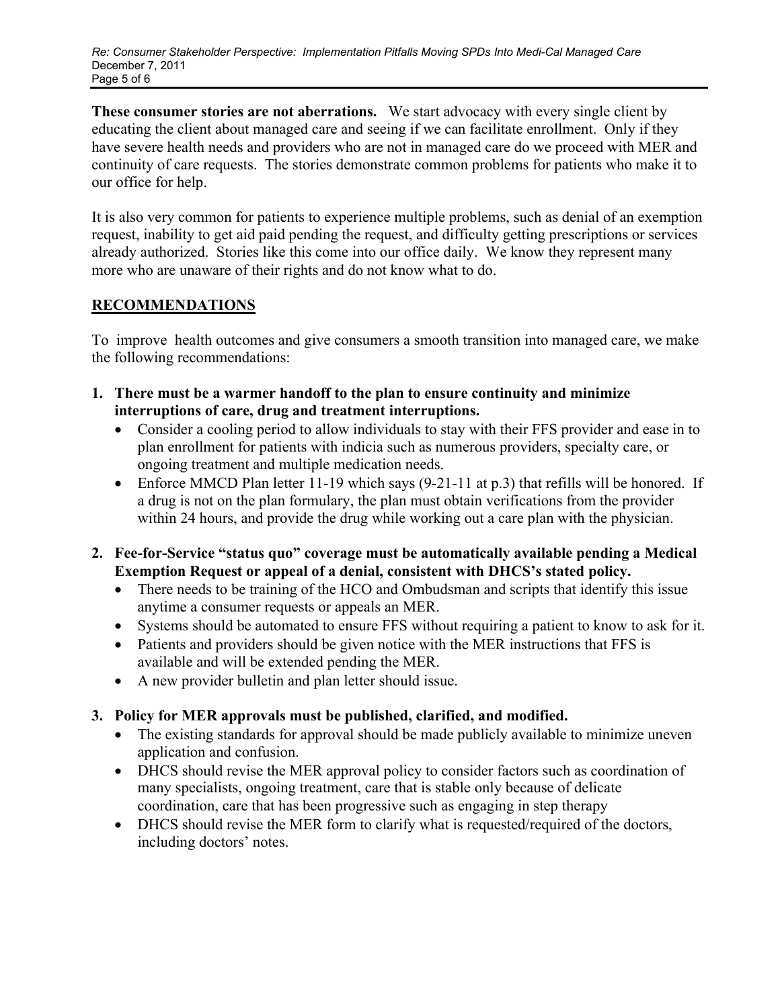**These consumer stories are not aberrations.** We start advocacy with every single client by educating the client about managed care and seeing if we can facilitate enrollment. Only if they have severe health needs and providers who are not in managed care do we proceed with MER and continuity of care requests. The stories demonstrate common problems for patients who make it to our office for help.

It is also very common for patients to experience multiple problems, such as denial of an exemption request, inability to get aid paid pending the request, and difficulty getting prescriptions or services already authorized. Stories like this come into our office daily. We know they represent many more who are unaware of their rights and do not know what to do.

# **RECOMMENDATIONS**

To improve health outcomes and give consumers a smooth transition into managed care, we make the following recommendations:

- **1. There must be a warmer handoff to the plan to ensure continuity and minimize interruptions of care, drug and treatment interruptions.** 
	- Consider a cooling period to allow individuals to stay with their FFS provider and ease in to plan enrollment for patients with indicia such as numerous providers, specialty care, or ongoing treatment and multiple medication needs.
	- Enforce MMCD Plan letter 11-19 which says (9-21-11 at p.3) that refills will be honored. If a drug is not on the plan formulary, the plan must obtain verifications from the provider within 24 hours, and provide the drug while working out a care plan with the physician.
- **2. Fee-for-Service "status quo" coverage must be automatically available pending a Medical Exemption Request or appeal of a denial, consistent with DHCS's stated policy.** 
	- There needs to be training of the HCO and Ombudsman and scripts that identify this issue anytime a consumer requests or appeals an MER.
	- Systems should be automated to ensure FFS without requiring a patient to know to ask for it.
	- Patients and providers should be given notice with the MER instructions that FFS is available and will be extended pending the MER.
	- A new provider bulletin and plan letter should issue.

# **3. Policy for MER approvals must be published, clarified, and modified.**

- The existing standards for approval should be made publicly available to minimize uneven application and confusion.
- DHCS should revise the MER approval policy to consider factors such as coordination of many specialists, ongoing treatment, care that is stable only because of delicate coordination, care that has been progressive such as engaging in step therapy
- DHCS should revise the MER form to clarify what is requested/required of the doctors, including doctors' notes.